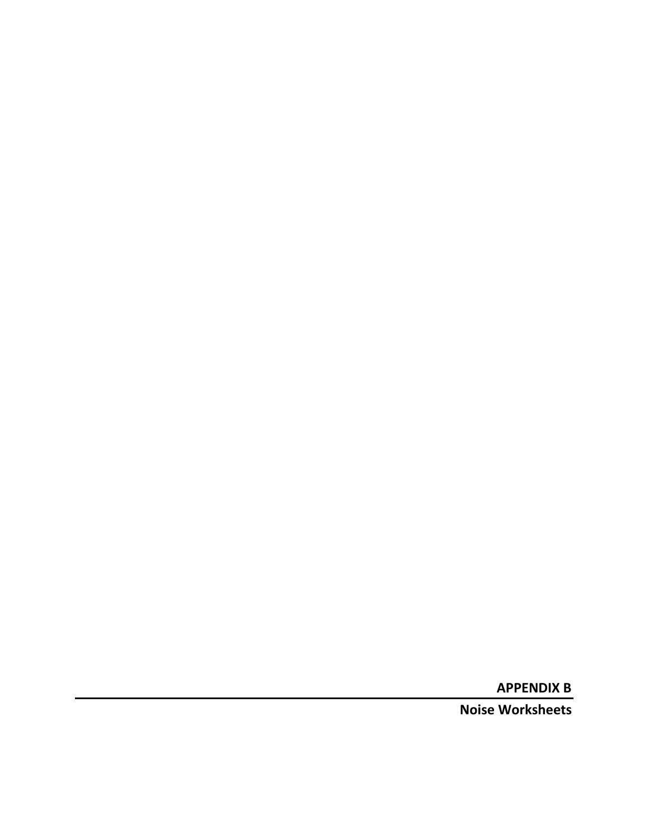**APPENDIX B**

**Noise Worksheets**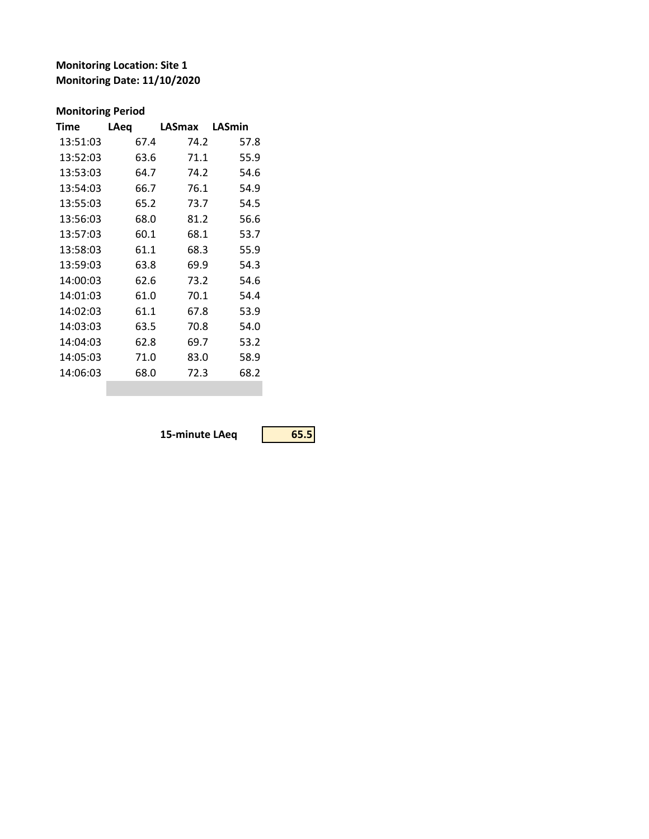## **Monitoring Location: Site 1 Monitoring Date: 11/10/2020**

## **Monitoring Period**

| Time     | LAeq | LASmax | LASmin |
|----------|------|--------|--------|
| 13:51:03 | 67.4 | 74.2   | 57.8   |
| 13:52:03 | 63.6 | 71.1   | 55.9   |
| 13:53:03 | 64.7 | 74.2   | 54.6   |
| 13:54:03 | 66.7 | 76.1   | 54.9   |
| 13:55:03 | 65.2 | 73.7   | 54.5   |
| 13:56:03 | 68.0 | 81.2   | 56.6   |
| 13:57:03 | 60.1 | 68.1   | 53.7   |
| 13:58:03 | 61.1 | 68.3   | 55.9   |
| 13:59:03 | 63.8 | 69.9   | 54.3   |
| 14:00:03 | 62.6 | 73.2   | 54.6   |
| 14:01:03 | 61.0 | 70.1   | 54.4   |
| 14:02:03 | 61.1 | 67.8   | 53.9   |
| 14:03:03 | 63.5 | 70.8   | 54.0   |
| 14:04:03 | 62.8 | 69.7   | 53.2   |
| 14:05:03 | 71.0 | 83.0   | 58.9   |
| 14:06:03 | 68.0 | 72.3   | 68.2   |
|          |      |        |        |

**15-minute LAeq 65.5**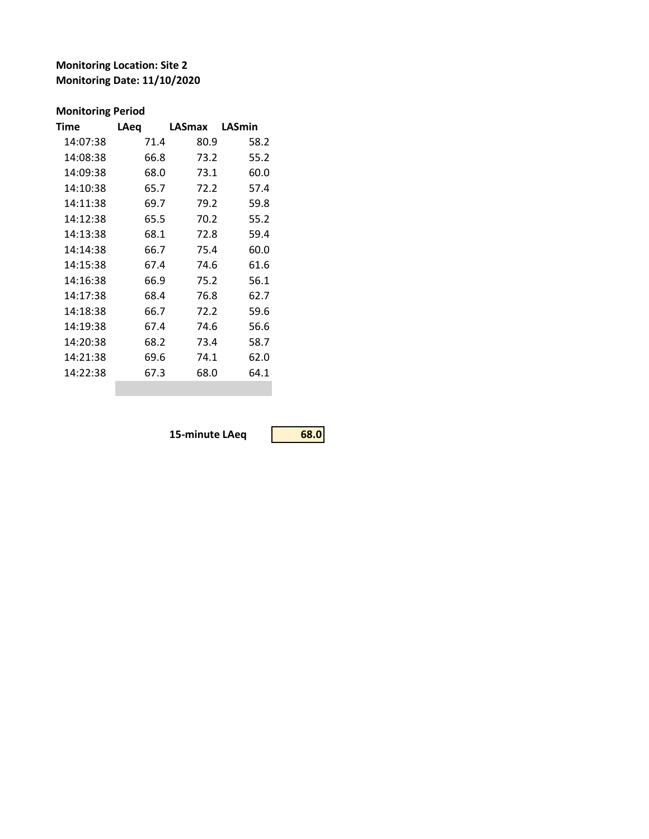**Monitoring Location: Site 2 Monitoring Date: 11/10/2020**

## **Monitoring Period**

| Time     | <b>LAeq</b> | LASmax | LASmin |
|----------|-------------|--------|--------|
| 14:07:38 | 71.4        | 80.9   | 58.2   |
| 14:08:38 | 66.8        | 73.2   | 55.2   |
| 14:09:38 | 68.0        | 73.1   | 60.0   |
| 14:10:38 | 65.7        | 72.2   | 57.4   |
| 14:11:38 | 69.7        | 79.2   | 59.8   |
| 14:12:38 | 65.5        | 70.2   | 55.2   |
| 14:13:38 | 68.1        | 72.8   | 59.4   |
| 14:14:38 | 66.7        | 75.4   | 60.0   |
| 14:15:38 | 67.4        | 74.6   | 61.6   |
| 14:16:38 | 66.9        | 75.2   | 56.1   |
| 14:17:38 | 68.4        | 76.8   | 62.7   |
| 14:18:38 | 66.7        | 72.2   | 59.6   |
| 14:19:38 | 67.4        | 74.6   | 56.6   |
| 14:20:38 | 68.2        | 73.4   | 58.7   |
| 14:21:38 | 69.6        | 74.1   | 62.0   |
| 14:22:38 | 67.3        | 68.0   | 64.1   |
|          |             |        |        |

**15-minute LAeq 68.0**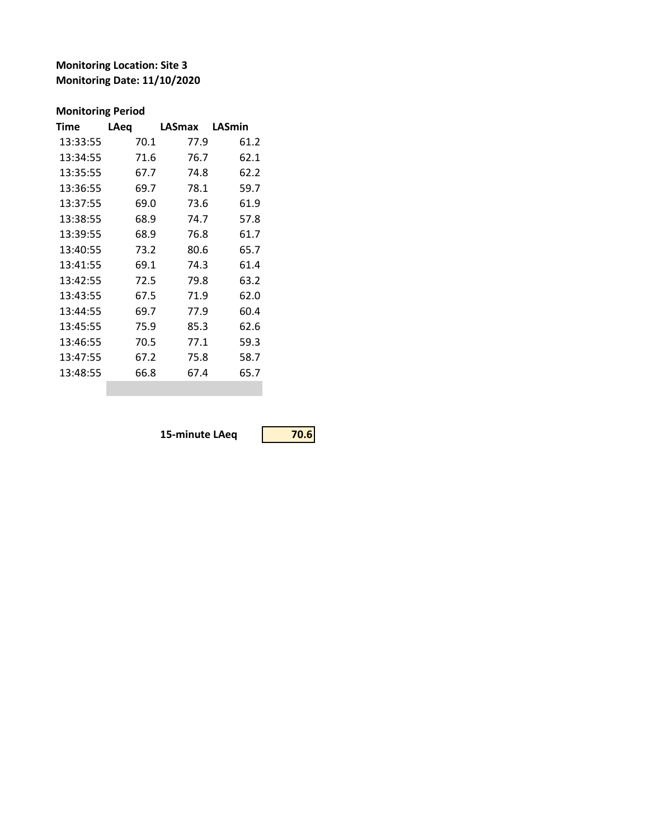## **Monitoring Location: Site 3 Monitoring Date: 11/10/2020**

## **Monitoring Period**

| LAeq | LASmax | LASmin |
|------|--------|--------|
| 70.1 | 77.9   | 61.2   |
| 71.6 | 76.7   | 62.1   |
| 67.7 | 74.8   | 62.2   |
| 69.7 | 78.1   | 59.7   |
| 69.0 | 73.6   | 61.9   |
| 68.9 | 74.7   | 57.8   |
| 68.9 | 76.8   | 61.7   |
| 73.2 | 80.6   | 65.7   |
| 69.1 | 74.3   | 61.4   |
| 72.5 | 79.8   | 63.2   |
| 67.5 | 71.9   | 62.0   |
| 69.7 | 77.9   | 60.4   |
| 75.9 | 85.3   | 62.6   |
| 70.5 | 77.1   | 59.3   |
| 67.2 | 75.8   | 58.7   |
| 66.8 | 67.4   | 65.7   |
|      |        |        |

**15-minute LAeq 70.6**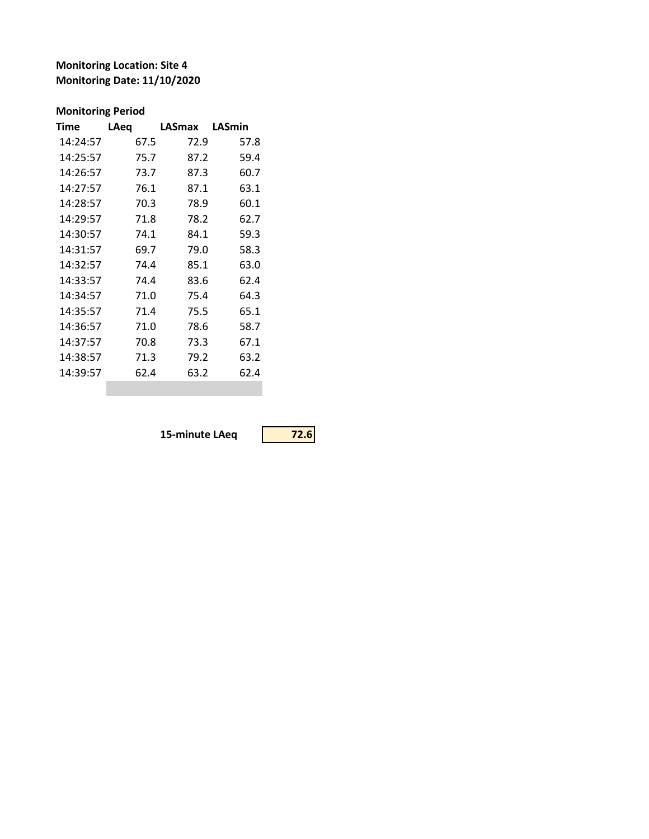## **Monitoring Location: Site 4 Monitoring Date: 11/10/2020**

## **Monitoring Period**

| LAeq | LASmax | LASmin |
|------|--------|--------|
| 67.5 | 72.9   | 57.8   |
| 75.7 | 87.2   | 59.4   |
| 73.7 | 87.3   | 60.7   |
| 76.1 | 87.1   | 63.1   |
| 70.3 | 78.9   | 60.1   |
| 71.8 | 78.2   | 62.7   |
| 74.1 | 84.1   | 59.3   |
| 69.7 | 79.0   | 58.3   |
| 74.4 | 85.1   | 63.0   |
| 74.4 | 83.6   | 62.4   |
| 71.0 | 75.4   | 64.3   |
| 71.4 | 75.5   | 65.1   |
| 71.0 | 78.6   | 58.7   |
| 70.8 | 73.3   | 67.1   |
| 71.3 | 79.2   | 63.2   |
| 62.4 | 63.2   | 62.4   |
|      |        |        |

**15-minute LAeq 72.6**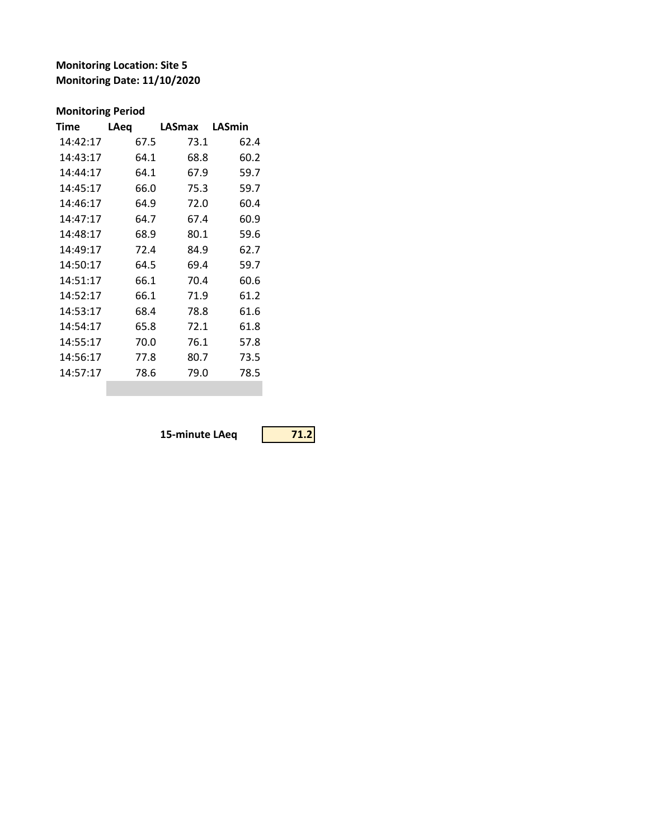**Monitoring Location: Site 5 Monitoring Date: 11/10/2020**

## **Monitoring Period**

| 14:42:17<br>73.1<br>62.4<br>67.5<br>14:43:17<br>64.1<br>68.8<br>60.2<br>59.7<br>14:44:17<br>64.1<br>67.9 |  |
|----------------------------------------------------------------------------------------------------------|--|
|                                                                                                          |  |
|                                                                                                          |  |
|                                                                                                          |  |
| 75.3<br>59.7<br>14:45:17<br>66.0                                                                         |  |
| 14:46:17<br>64.9<br>72.0<br>60.4                                                                         |  |
| 14:47:17<br>64.7<br>67.4<br>60.9                                                                         |  |
| 80.1<br>14:48:17<br>68.9<br>59.6                                                                         |  |
| 62.7<br>14:49:17<br>72.4<br>84.9                                                                         |  |
| 14:50:17<br>59.7<br>64.5<br>69.4                                                                         |  |
| 14:51:17<br>66.1<br>70.4<br>60.6                                                                         |  |
| 66.1<br>14:52:17<br>71.9<br>61.2                                                                         |  |
| 14:53:17<br>68.4<br>78.8<br>61.6                                                                         |  |
| 14:54:17<br>65.8<br>72.1<br>61.8                                                                         |  |
| 14:55:17<br>70.0<br>76.1<br>57.8                                                                         |  |
| 14:56:17<br>80.7<br>73.5<br>77.8                                                                         |  |
| 14:57:17<br>78.6<br>79.0<br>78.5                                                                         |  |

**15-minute LAeq 71.2**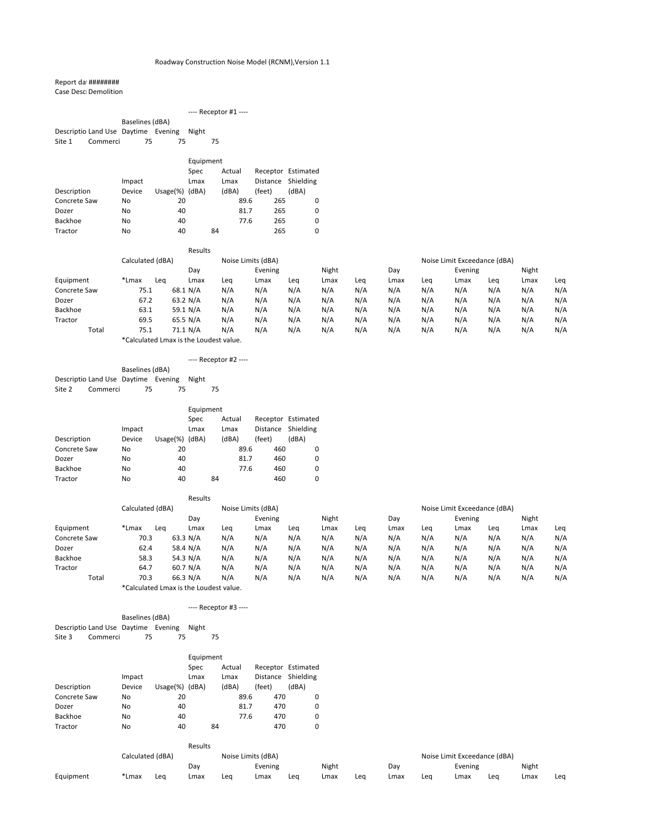## Report dat #########

Case DescrDemolition

|              |                                     |                 |              |           |    | ---- Receptor #1 ---- |          |                    |  |
|--------------|-------------------------------------|-----------------|--------------|-----------|----|-----------------------|----------|--------------------|--|
|              |                                     | Baselines (dBA) |              |           |    |                       |          |                    |  |
|              | Descriptio Land Use Daytime Evening |                 |              | Night     |    |                       |          |                    |  |
| Site 1       | Commerci                            | 75              | 75           |           | 75 |                       |          |                    |  |
|              |                                     |                 |              |           |    |                       |          |                    |  |
|              |                                     |                 |              | Equipment |    |                       |          |                    |  |
|              |                                     |                 |              | Spec      |    | Actual                |          | Receptor Estimated |  |
|              |                                     | Impact          |              | Lmax      |    | Lmax                  | Distance | Shielding          |  |
| Description  |                                     | Device          | Usage $(\%)$ | (dBA)     |    | (dBA)                 | (feet)   | (dBA)              |  |
| Concrete Saw |                                     | No              | 20           |           |    | 89.6                  | 265      | 0                  |  |
| Dozer        |                                     | No              | 40           |           |    | 81.7                  | 265      | 0                  |  |

Backhoe No 40 77.6 265 0 Tractor No 40 84 265 0

|                |                  | Results  |     |                    |     |       |     |      |     |                              |     |       |     |
|----------------|------------------|----------|-----|--------------------|-----|-------|-----|------|-----|------------------------------|-----|-------|-----|
|                | Calculated (dBA) |          |     | Noise Limits (dBA) |     |       |     |      |     | Noise Limit Exceedance (dBA) |     |       |     |
|                |                  | Day      |     | Evening            |     | Night |     | Day  |     | Evening                      |     | Night |     |
| Equipment      | *Lmax<br>Lea     | Lmax     | Leg | Lmax               | Lea | Lmax  | Leq | Lmax | Lea | Lmax                         | Leg | Lmax  | Leq |
| Concrete Saw   | 75.1             | 68.1 N/A | N/A | N/A                | N/A | N/A   | N/A | N/A  | N/A | N/A                          | N/A | N/A   | N/A |
| Dozer          | 67.2             | 63.2 N/A | N/A | N/A                | N/A | N/A   | N/A | N/A  | N/A | N/A                          | N/A | N/A   | N/A |
| <b>Backhoe</b> | 63.1             | 59.1 N/A | N/A | N/A                | N/A | N/A   | N/A | N/A  | N/A | N/A                          | N/A | N/A   | N/A |
| Tractor        | 69.5             | 65.5 N/A | N/A | N/A                | N/A | N/A   | N/A | N/A  | N/A | N/A                          | N/A | N/A   | N/A |
| Total          | 75.1             | 71.1 N/A | N/A | N/A                | N/A | N/A   | N/A | N/A  | N/A | N/A                          | N/A | N/A   | N/A |
|                | .                |          |     |                    |     |       |     |      |     |                              |     |       |     |

\*Calculated Lmax is the Loudest value.

### ---- Receptor #2 ----

| Baselines (dBA) |                                           |     |     |  |     |  |  |  |  |  |  |
|-----------------|-------------------------------------------|-----|-----|--|-----|--|--|--|--|--|--|
|                 | Descriptio Land Use Daytime Evening Night |     |     |  |     |  |  |  |  |  |  |
| Site 2          | Commerci                                  | 75. | 75. |  | 75. |  |  |  |  |  |  |

|                |        |         | Equipment      |       |      |          |                    |  |  |  |
|----------------|--------|---------|----------------|-------|------|----------|--------------------|--|--|--|
|                |        |         | Actual<br>Spec |       |      |          | Receptor Estimated |  |  |  |
|                | Impact |         | Lmax           | Lmax  |      | Distance | Shielding          |  |  |  |
| Description    | Device | Usage%) | (dBA)          | (dBA) |      | (feet)   | (dBA)              |  |  |  |
| Concrete Saw   | No     | 20      |                |       | 89.6 | 460      | 0                  |  |  |  |
| Dozer          | No     | 40      |                |       | 81.7 | 460      | 0                  |  |  |  |
| <b>Backhoe</b> | No     | 40      |                |       | 77.6 | 460      | 0                  |  |  |  |
| Tractor        | No     | 40      |                | 84    |      | 460      | 0                  |  |  |  |

|              |                      | Results                                 |     |                    |     |       |     |      |     |                              |     |       |     |
|--------------|----------------------|-----------------------------------------|-----|--------------------|-----|-------|-----|------|-----|------------------------------|-----|-------|-----|
|              | Calculated (dBA)     |                                         |     | Noise Limits (dBA) |     |       |     |      |     | Noise Limit Exceedance (dBA) |     |       |     |
|              |                      | Day                                     |     | Evening            |     | Night |     | Day  |     | Evening                      |     | Night |     |
| Equipment    | *Lmax<br>Lea         | Lmax                                    | Leq | Lmax               | Lea | Lmax  | Leg | Lmax | Leq | Lmax                         | Lea | Lmax  | Leq |
| Concrete Saw | 70.3                 | 63.3 $N/A$                              | N/A | N/A                | N/A | N/A   | N/A | N/A  | N/A | N/A                          | N/A | N/A   | N/A |
| Dozer        | 62.4                 | 58.4 N/A                                | N/A | N/A                | N/A | N/A   | N/A | N/A  | N/A | N/A                          | N/A | N/A   | N/A |
| Backhoe      | 58.3                 | 54.3 N/A                                | N/A | N/A                | N/A | N/A   | N/A | N/A  | N/A | N/A                          | N/A | N/A   | N/A |
| Tractor      | 64.7                 | 60.7 $N/A$                              | N/A | N/A                | N/A | N/A   | N/A | N/A  | N/A | N/A                          | N/A | N/A   | N/A |
| Total        | 70.3                 | 66.3 N/A                                | N/A | N/A                | N/A | N/A   | N/A | N/A  | N/A | N/A                          | N/A | N/A   | N/A |
|              | $\sim$ $\sim$ $\sim$ | $\cdot$ $\cdot$ $\cdot$ $\cdot$ $\cdot$ |     |                    |     |       |     |      |     |                              |     |       |     |

\*Calculated Lmax is the Loudest value.

### Baselines (dBA) Descriptio Land Use Daytime Evening Night Site 3 Commerci 75 75 75

|                |        |                    | Equipment      |    |       |          |                    |  |  |  |  |
|----------------|--------|--------------------|----------------|----|-------|----------|--------------------|--|--|--|--|
|                |        |                    | Actual<br>Spec |    |       |          | Receptor Estimated |  |  |  |  |
|                | Impact |                    | Lmax           |    | Lmax  | Distance | Shielding          |  |  |  |  |
| Description    | Device | Usage $(\%)$ (dBA) |                |    | (dBA) | (feet)   | (dBA)              |  |  |  |  |
| Concrete Saw   | No     | 20                 |                |    | 89.6  | 470      | 0                  |  |  |  |  |
| Dozer          | No     | 40                 |                |    | 81.7  | 470      | 0                  |  |  |  |  |
| <b>Backhoe</b> | No     | 40                 |                |    | 77.6  | 470      | 0                  |  |  |  |  |
| Tractor        | No     | 40                 |                | 84 |       | 470      | 0                  |  |  |  |  |

|           |       |                  | <b>Results</b> |     |                    |     |       |     |      |     |                              |     |       |     |
|-----------|-------|------------------|----------------|-----|--------------------|-----|-------|-----|------|-----|------------------------------|-----|-------|-----|
|           |       | Calculated (dBA) |                |     | Noise Limits (dBA) |     |       |     |      |     | Noise Limit Exceedance (dBA) |     |       |     |
|           |       |                  | Dav            |     | Evening            |     | Night |     | Dav  |     | Evening                      |     | Night |     |
| Equipment | 'Lmax | Leo              | Lmax           | Lea | Lmax               | Lea | Lmax  | Lea | Lmax | Lea | Lmax                         | Lea | Lmax  | Lea |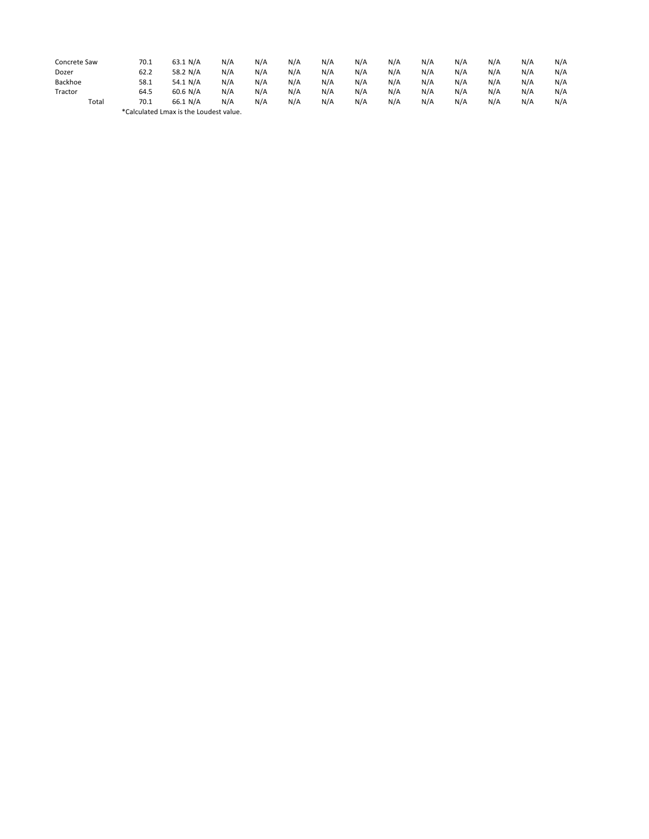| Concrete Saw | 70.1 | 63.1 N/A                               | N/A | N/A | N/A | N/A | N/A | N/A | N/A | N/A | N/A | N/A | N/A |
|--------------|------|----------------------------------------|-----|-----|-----|-----|-----|-----|-----|-----|-----|-----|-----|
| Dozer        | 62.2 | 58.2 N/A                               | N/A | N/A | N/A | N/A | N/A | N/A | N/A | N/A | N/A | N/A | N/A |
| Backhoe      | 58.1 | 54.1 N/A                               | N/A | N/A | N/A | N/A | N/A | N/A | N/A | N/A | N/A | N/A | N/A |
| Tractor      | 64.5 | $60.6$ N/A                             | N/A | N/A | N/A | N/A | N/A | N/A | N/A | N/A | N/A | N/A | N/A |
| Total        | 70.1 | 66.1 N/A                               | N/A | N/A | N/A | N/A | N/A | N/A | N/A | N/A | N/A | N/A | N/A |
|              |      | *Calculated Lmax is the Loudest value. |     |     |     |     |     |     |     |     |     |     |     |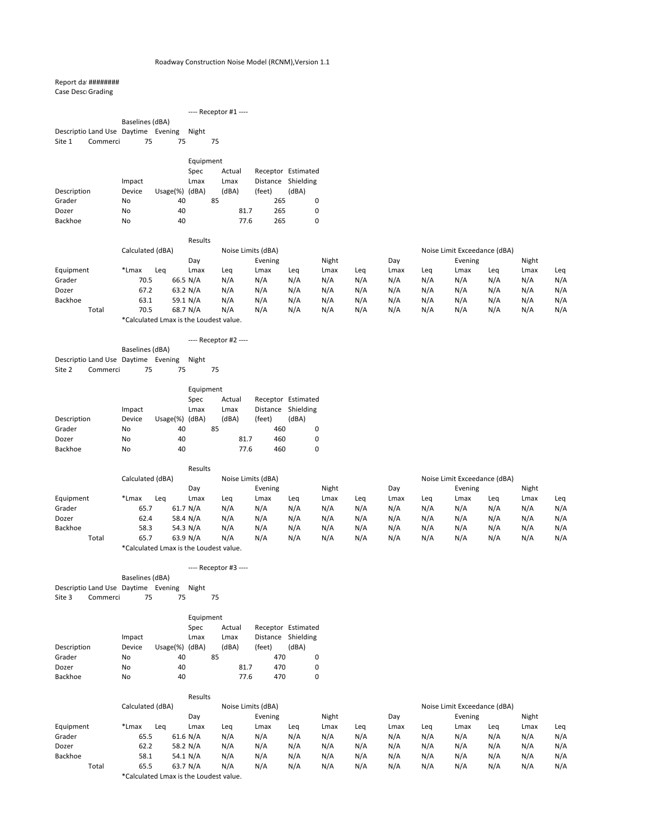### Report dat #########

Case Desc<sub>l</sub>Grading

|                                     |                 |              |           | ---- Receptor #1 ---- |        |                    |
|-------------------------------------|-----------------|--------------|-----------|-----------------------|--------|--------------------|
|                                     | Baselines (dBA) |              |           |                       |        |                    |
| Descriptio Land Use Daytime Evening |                 |              | Night     |                       |        |                    |
| Site 1<br>Commerci                  | 75              | 75           |           | 75                    |        |                    |
|                                     |                 |              |           |                       |        |                    |
|                                     |                 |              | Equipment |                       |        |                    |
|                                     |                 |              | Spec      | Actual                |        | Receptor Estimated |
|                                     | Impact          |              | Lmax      | Lmax                  |        | Distance Shielding |
| Description                         | Device          | Usage $(\%)$ | (dBA)     | (dBA)                 | (feet) | (dBA)              |
| Grader                              | No              | 40           |           | 85                    | 265    | 0                  |

Dozer No 40 81.7 265 0 Backhoe No 40 77.6 265 0

|           |                   | Results    |     |                    |     |       |     |      |     |                              |     |       |     |
|-----------|-------------------|------------|-----|--------------------|-----|-------|-----|------|-----|------------------------------|-----|-------|-----|
|           | Calculated (dBA)  |            |     | Noise Limits (dBA) |     |       |     |      |     | Noise Limit Exceedance (dBA) |     |       |     |
|           |                   | Dav        |     | Evening            |     | Night |     | Dav  |     | Evening                      |     | Night |     |
| Equipment | *Lmax<br>Lea      | Lmax       | Lea | Lmax               | Leg | Lmax  | Leg | Lmax | Lea | Lmax                         | Lea | Lmax  | Leq |
| Grader    | 70.5              | 66.5 N/A   | N/A | N/A                | N/A | N/A   | N/A | N/A  | N/A | N/A                          | N/A | N/A   | N/A |
| Dozer     | 67.2              | 63.2 $N/A$ | N/A | N/A                | N/A | N/A   | N/A | N/A  | N/A | N/A                          | N/A | N/A   | N/A |
| Backhoe   | 63.1              | 59.1 N/A   | N/A | N/A                | N/A | N/A   | N/A | N/A  | N/A | N/A                          | N/A | N/A   | N/A |
| Total     | 70.5              | 68.7 N/A   | N/A | N/A                | N/A | N/A   | N/A | N/A  | N/A | N/A                          | N/A | N/A   | N/A |
|           | $\mathbf{r}$<br>. | .          |     |                    |     |       |     |      |     |                              |     |       |     |

Baselines (dBA) Descriptio Land Use Daytime Evening Night Site 3 Commerci 75 75 75

\*Calculated Lmax is the Loudest value.

|        |                                           |                 |     | $---$ Receptor #2 $---$ |  |
|--------|-------------------------------------------|-----------------|-----|-------------------------|--|
|        |                                           | Baselines (dBA) |     |                         |  |
|        | Descriptio Land Use Daytime Evening Night |                 |     |                         |  |
| Site 2 | Commerci                                  | 75              | 75. | 75                      |  |

|                |        |              | Equipment   |    |        |          |                    |  |  |  |
|----------------|--------|--------------|-------------|----|--------|----------|--------------------|--|--|--|
|                |        |              | <b>Spec</b> |    | Actual |          | Receptor Estimated |  |  |  |
|                | Impact |              | Lmax        |    | Lmax   | Distance | Shielding          |  |  |  |
| Description    | Device | Usage $(\%)$ | (dBA)       |    | (dBA)  | (feet)   | (dBA)              |  |  |  |
| Grader         | No     | 40           |             | 85 |        | 460      | 0                  |  |  |  |
| Dozer          | No.    | 40           |             |    | 81.7   | 460      | 0                  |  |  |  |
| <b>Backhoe</b> | No     | 40           |             |    | 77.6   | 460      | 0                  |  |  |  |

|                |              | Results                                  |     |         |     |       |     |                              |     |         |     |       |     |  |
|----------------|--------------|------------------------------------------|-----|---------|-----|-------|-----|------------------------------|-----|---------|-----|-------|-----|--|
|                |              | Calculated (dBA)<br>Noise Limits (dBA)   |     |         |     |       |     | Noise Limit Exceedance (dBA) |     |         |     |       |     |  |
|                |              | Day                                      |     | Evening |     | Night |     | Day                          |     | Evening |     | Night |     |  |
| Equipment      | *Lmax<br>Lea | Lmax                                     | Lea | Lmax    | Lea | Lmax  | Lea | Lmax                         | Lea | Lmax    | Lea | Lmax  | Leq |  |
| Grader         | 65.7         | 61.7 N/A                                 | N/A | N/A     | N/A | N/A   | N/A | N/A                          | N/A | N/A     | N/A | N/A   | N/A |  |
| Dozer          | 62.4         | 58.4 N/A                                 | N/A | N/A     | N/A | N/A   | N/A | N/A                          | N/A | N/A     | N/A | N/A   | N/A |  |
| <b>Backhoe</b> | 58.3         | 54.3 $N/A$                               | N/A | N/A     | N/A | N/A   | N/A | N/A                          | N/A | N/A     | N/A | N/A   | N/A |  |
| Total          | 65.7         | 63.9 N/A                                 | N/A | N/A     | N/A | N/A   | N/A | N/A                          | N/A | N/A     | N/A | N/A   | N/A |  |
|                |              | $*$ Calaulated Lusau is tha Laudastualus |     |         |     |       |     |                              |     |         |     |       |     |  |

\*Calculated Lmax is the Loudest value.

#### ---- Receptor #3 ----

#### Equipment

|                |        |                    | Lyupulcut   |    |        |                    |                    |
|----------------|--------|--------------------|-------------|----|--------|--------------------|--------------------|
|                |        |                    | <b>Spec</b> |    | Actual |                    | Receptor Estimated |
|                | Impact |                    | Lmax        |    | Lmax   | Distance Shielding |                    |
| Description    | Device | Usage $(\%)$ (dBA) |             |    | (dBA)  | (feet)             | (dBA)              |
| Grader         | No.    | 40                 |             | 85 |        | 470                |                    |
| Dozer          | No     | 40                 |             |    | 81.7   | 470                |                    |
| <b>Backhoe</b> | No     | 40                 |             |    | 77.6   | 470                |                    |

## Results Calculated (dBA) Noise Limits (dBA) Noise Limit Exceedance (dBA) Day **Evening** Night Night Day Evening Night Equipment \*Lmax Leq Lmax Leq Lmax Leq Lmax Leq Lmax Leq Lmax Leq Lmax Leq Grader 65.5 61.6 N/A N/A N/A N/A N/A N/A N/A N/A N/A N/A N/A N/A Dozer 62.2 58.2 N/A N/A N/A N/A N/A N/A N/A N/A N/A N/A N/A N/A Backhoe 58.1 54.1 N/A N/A N/A N/A N/A N/A N/A N/A N/A N/A Total 65.5 63.7 N/A N/A N/A N/A N/A N/A N/A N/A N/A N/A N/A N/A

\*Calculated Lmax is the Loudest value.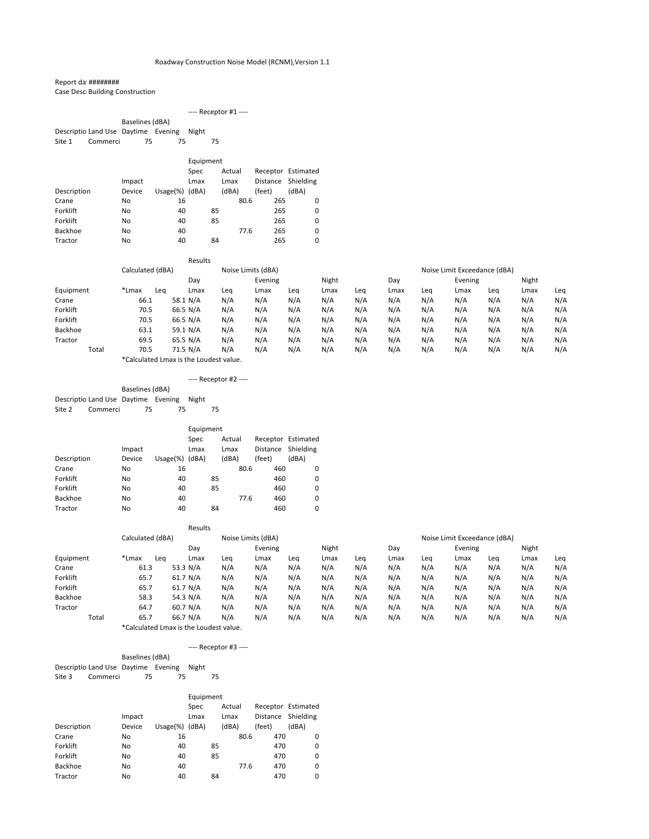## Report dat #########

Case Desc<sub>l</sub> Building Construction

|                                     | $---$ Receptor #1 $---$                     |
|-------------------------------------|---------------------------------------------|
| Baselines (dBA)                     |                                             |
| Descriptio Land Use Daytime Evening | Night                                       |
| Commerci<br>Site 1<br>75<br>75      | 75                                          |
|                                     | Equipment                                   |
|                                     | Receptor Estimated<br>Actual<br><b>Spec</b> |
| Impact                              | Distance Shielding<br>Lmax<br>Lmax          |

| Description    | Device | $Usage(%)$ (dBA) |    | (dBA) | (feet) | (dBA) |  |
|----------------|--------|------------------|----|-------|--------|-------|--|
| Crane          | No     | 16               |    | 80.6  | 265    |       |  |
| Forklift       | No     | 40               | 85 |       | 265    |       |  |
| Forklift       | No     | 40               | 85 |       | 265    |       |  |
| <b>Backhoe</b> | No     | 40               |    | 77.6  | 265    |       |  |
| Tractor        | No     | 40               | 84 |       | 265    |       |  |

|           |                  |     | Results                                |     |                    |     |       |     |      |     |                              |     |       |     |
|-----------|------------------|-----|----------------------------------------|-----|--------------------|-----|-------|-----|------|-----|------------------------------|-----|-------|-----|
|           | Calculated (dBA) |     |                                        |     | Noise Limits (dBA) |     |       |     |      |     | Noise Limit Exceedance (dBA) |     |       |     |
|           |                  |     | Day                                    |     | Evening            |     | Night |     | Day  |     | Evening                      |     | Night |     |
| Equipment | *Lmax            | Lea | Lmax                                   | Leq | Lmax               | Lea | Lmax  | Leg | Lmax | Leq | Lmax                         | Leg | Lmax  | Leq |
| Crane     | 66.1             |     | 58.1 N/A                               | N/A | N/A                | N/A | N/A   | N/A | N/A  | N/A | N/A                          | N/A | N/A   | N/A |
| Forklift  | 70.5             |     | 66.5 N/A                               | N/A | N/A                | N/A | N/A   | N/A | N/A  | N/A | N/A                          | N/A | N/A   | N/A |
| Forklift  | 70.5             |     | 66.5 N/A                               | N/A | N/A                | N/A | N/A   | N/A | N/A  | N/A | N/A                          | N/A | N/A   | N/A |
| Backhoe   | 63.1             |     | 59.1 N/A                               | N/A | N/A                | N/A | N/A   | N/A | N/A  | N/A | N/A                          | N/A | N/A   | N/A |
| Tractor   | 69.5             |     | 65.5 N/A                               | N/A | N/A                | N/A | N/A   | N/A | N/A  | N/A | N/A                          | N/A | N/A   | N/A |
| Total     | 70.5             |     | 71.5 N/A                               | N/A | N/A                | N/A | N/A   | N/A | N/A  | N/A | N/A                          | N/A | N/A   | N/A |
|           |                  |     | *Calculated Lmax is the Loudest value. |     |                    |     |       |     |      |     |                              |     |       |     |

Baselines (dBA) Descriptio Land Use Daytime Evening Night Site 3 Commerci 75 75 75

|                                           |          |                 |    | $---$ Receptor #2 $---$ |  |
|-------------------------------------------|----------|-----------------|----|-------------------------|--|
|                                           |          | Baselines (dBA) |    |                         |  |
| Descriptio Land Use Daytime Evening Night |          |                 |    |                         |  |
| Site 2                                    | Commerci | 75              | 75 | 75                      |  |
|                                           |          |                 |    |                         |  |

|                |        |         | Equipment |    |        |          |                    |  |
|----------------|--------|---------|-----------|----|--------|----------|--------------------|--|
|                |        |         | Spec      |    | Actual |          | Receptor Estimated |  |
|                | Impact |         | Lmax      |    | Lmax   | Distance | Shielding          |  |
| Description    | Device | Usage%) | (dBA)     |    | (dBA)  | (feet)   | (dBA)              |  |
| Crane          | No.    | 16      |           |    | 80.6   | 460      | 0                  |  |
| Forklift       | No     | 40      |           | 85 |        | 460      | 0                  |  |
| Forklift       | No     | 40      |           | 85 |        | 460      | 0                  |  |
| <b>Backhoe</b> | No.    | 40      |           |    | 77.6   | 460      | 0                  |  |
| Tractor        | No     | 40      |           | 84 |        | 460      | 0                  |  |

|           |                  | Results  |         |                    |     |              |     |      |     |                              |     |       |     |
|-----------|------------------|----------|---------|--------------------|-----|--------------|-----|------|-----|------------------------------|-----|-------|-----|
|           | Calculated (dBA) |          |         | Noise Limits (dBA) |     |              |     |      |     | Noise Limit Exceedance (dBA) |     |       |     |
|           |                  | Dav      | Evening |                    |     | Night<br>Day |     |      |     | Evening                      |     | Night |     |
| Equipment | *Lmax<br>Lea     | Lmax     | Lea     | Lmax               | Lea | Lmax         | Lea | Lmax | Leq | Lmax                         | Leg | Lmax  | Leq |
| Crane     | 61.3             | 53.3 N/A | N/A     | N/A                | N/A | N/A          | N/A | N/A  | N/A | N/A                          | N/A | N/A   | N/A |
| Forklift  | 65.7             | 61.7 N/A | N/A     | N/A                | N/A | N/A          | N/A | N/A  | N/A | N/A                          | N/A | N/A   | N/A |
| Forklift  | 65.7             | 61.7 N/A | N/A     | N/A                | N/A | N/A          | N/A | N/A  | N/A | N/A                          | N/A | N/A   | N/A |
| Backhoe   | 58.3             | 54.3 N/A | N/A     | N/A                | N/A | N/A          | N/A | N/A  | N/A | N/A                          | N/A | N/A   | N/A |
| Tractor   | 64.7             | 60.7 N/A | N/A     | N/A                | N/A | N/A          | N/A | N/A  | N/A | N/A                          | N/A | N/A   | N/A |
| Total     | 65.7             | 66.7 N/A | N/A     | N/A                | N/A | N/A          | N/A | N/A  | N/A | N/A                          | N/A | N/A   | N/A |

\*Calculated Lmax is the Loudest value.

---- Receptor #3 ----

|                |        |         | Equipment                                   |    |       |          |           |  |  |  |  |  |
|----------------|--------|---------|---------------------------------------------|----|-------|----------|-----------|--|--|--|--|--|
|                |        |         | Receptor Estimated<br><b>Spec</b><br>Actual |    |       |          |           |  |  |  |  |  |
|                | Impact |         | Lmax                                        |    | Lmax  | Distance | Shielding |  |  |  |  |  |
| Description    | Device | Usage%) | (dBA)                                       |    | (dBA) | (feet)   | (dBA)     |  |  |  |  |  |
| Crane          | No     | 16      |                                             |    | 80.6  | 470      | 0         |  |  |  |  |  |
| Forklift       | No     | 40      |                                             | 85 |       | 470      | 0         |  |  |  |  |  |
| Forklift       | No     | 40      |                                             | 85 |       | 470      | 0         |  |  |  |  |  |
| <b>Backhoe</b> | No     | 40      |                                             |    | 77.6  | 470      | 0         |  |  |  |  |  |
| Tractor        | No     | 40      |                                             | 84 |       | 470      | 0         |  |  |  |  |  |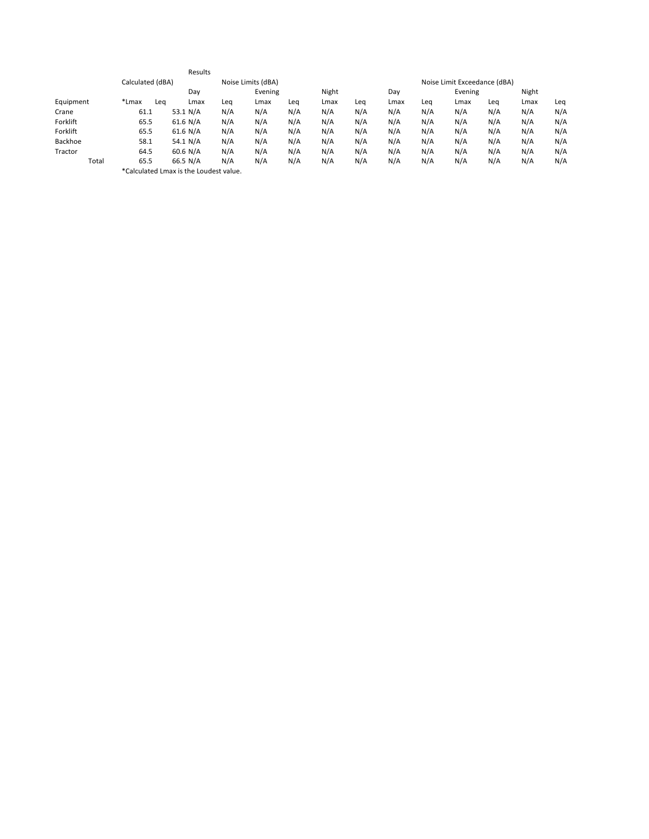|                |                  |     | Results                                |     |                    |     |       |     |      |     |                              |     |       |     |
|----------------|------------------|-----|----------------------------------------|-----|--------------------|-----|-------|-----|------|-----|------------------------------|-----|-------|-----|
|                | Calculated (dBA) |     |                                        |     | Noise Limits (dBA) |     |       |     |      |     | Noise Limit Exceedance (dBA) |     |       |     |
|                |                  |     | Day                                    |     | Evening            |     | Night |     | Day  |     | Evening                      |     | Night |     |
| Equipment      | *Lmax            | Lea | Lmax                                   | Leq | Lmax               | Lea | Lmax  | Lea | Lmax | Lea | Lmax                         | Leq | Lmax  | Leq |
| Crane          | 61.1             |     | 53.1 N/A                               | N/A | N/A                | N/A | N/A   | N/A | N/A  | N/A | N/A                          | N/A | N/A   | N/A |
| Forklift       | 65.5             |     | 61.6 N/A                               | N/A | N/A                | N/A | N/A   | N/A | N/A  | N/A | N/A                          | N/A | N/A   | N/A |
| Forklift       | 65.5             |     | 61.6 N/A                               | N/A | N/A                | N/A | N/A   | N/A | N/A  | N/A | N/A                          | N/A | N/A   | N/A |
| <b>Backhoe</b> | 58.1             |     | 54.1 N/A                               | N/A | N/A                | N/A | N/A   | N/A | N/A  | N/A | N/A                          | N/A | N/A   | N/A |
| Tractor        | 64.5             |     | 60.6 N/A                               | N/A | N/A                | N/A | N/A   | N/A | N/A  | N/A | N/A                          | N/A | N/A   | N/A |
| Total          | 65.5             |     | 66.5 N/A                               | N/A | N/A                | N/A | N/A   | N/A | N/A  | N/A | N/A                          | N/A | N/A   | N/A |
|                |                  |     | *Calculated Lmax is the Loudest value. |     |                    |     |       |     |      |     |                              |     |       |     |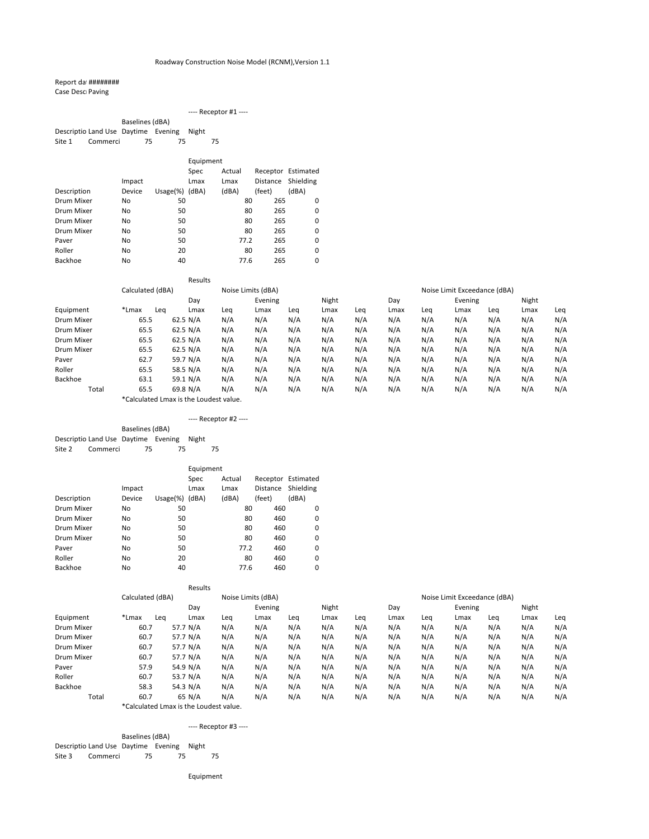### Report dat #########

Case DescrPaving

|                                     |          |                 |    |             | $---$ Receptor #1 $---$ |                    |
|-------------------------------------|----------|-----------------|----|-------------|-------------------------|--------------------|
|                                     |          | Baselines (dBA) |    |             |                         |                    |
| Descriptio Land Use Daytime Evening |          |                 |    | Night       |                         |                    |
| Site 1                              | Commerci | 75              | 75 |             | 75                      |                    |
|                                     |          |                 |    | Equipment   |                         |                    |
|                                     |          |                 |    | <b>Spec</b> | Actual                  | Receptor Estimated |
|                                     |          | Impact          |    | Lmax        | Lmax                    | Distance Shielding |

|                | Impact |              | Lmax  | Lmax  | Distance | Shielding |
|----------------|--------|--------------|-------|-------|----------|-----------|
| Description    | Device | Usage $(\%)$ | (dBA) | (dBA) | (feet)   | (dBA)     |
| Drum Mixer     | No     | 50           |       | 80    | 265      | 0         |
| Drum Mixer     | No     | 50           |       | 80    | 265      | 0         |
| Drum Mixer     | No     | 50           |       | 80    | 265      | 0         |
| Drum Mixer     | No     | 50           |       | 80    | 265      | 0         |
| Paver          | No     | 50           |       | 77.2  | 265      | 0         |
| Roller         | No     | 20           |       | 80    | 265      | 0         |
| <b>Backhoe</b> | No     | 40           |       | 77.6  | 265      |           |

Baselines (dBA) Descriptio Land Use Daytime Evening Night Site 2 Commerci 75 75 75

|            |                  |     |          | Results |                    |     |       |     |      |     |                              |         |      |     |
|------------|------------------|-----|----------|---------|--------------------|-----|-------|-----|------|-----|------------------------------|---------|------|-----|
|            | Calculated (dBA) |     |          |         | Noise Limits (dBA) |     |       |     |      |     | Noise Limit Exceedance (dBA) |         |      |     |
|            |                  |     | Day      |         | Evening            |     | Night |     |      | Day |                              | Evening |      |     |
| Equipment  | *Lmax            | Leg | Lmax     | Leq     | Lmax               | Leg | Lmax  | Leg | Lmax | Leq | Lmax                         | Leq     | Lmax | Leq |
| Drum Mixer | 65.5             |     | 62.5 N/A | N/A     | N/A                | N/A | N/A   | N/A | N/A  | N/A | N/A                          | N/A     | N/A  | N/A |
| Drum Mixer | 65.5             |     | 62.5 N/A | N/A     | N/A                | N/A | N/A   | N/A | N/A  | N/A | N/A                          | N/A     | N/A  | N/A |
| Drum Mixer | 65.5             |     | 62.5 N/A | N/A     | N/A                | N/A | N/A   | N/A | N/A  | N/A | N/A                          | N/A     | N/A  | N/A |
| Drum Mixer | 65.5             |     | 62.5 N/A | N/A     | N/A                | N/A | N/A   | N/A | N/A  | N/A | N/A                          | N/A     | N/A  | N/A |
| Paver      | 62.7             |     | 59.7 N/A | N/A     | N/A                | N/A | N/A   | N/A | N/A  | N/A | N/A                          | N/A     | N/A  | N/A |
| Roller     | 65.5             |     | 58.5 N/A | N/A     | N/A                | N/A | N/A   | N/A | N/A  | N/A | N/A                          | N/A     | N/A  | N/A |
| Backhoe    | 63.1             |     | 59.1 N/A | N/A     | N/A                | N/A | N/A   | N/A | N/A  | N/A | N/A                          | N/A     | N/A  | N/A |
| Total      | 65.5             |     | 69.8 N/A | N/A     | N/A                | N/A | N/A   | N/A | N/A  | N/A | N/A                          | N/A     | N/A  | N/A |

Baselines (dBA) Descriptio Land Use Daytime Evening Night Site 3 Commerci 75 75 75

\*Calculated Lmax is the Loudest value.

#### ---- Receptor #2 ----

|                |        |              | Equipment |        |          |                    |  |  |  |  |
|----------------|--------|--------------|-----------|--------|----------|--------------------|--|--|--|--|
|                |        |              | Spec      | Actual |          | Receptor Estimated |  |  |  |  |
|                | Impact |              | Lmax      | Lmax   | Distance | Shielding          |  |  |  |  |
| Description    | Device | Usage $(\%)$ | (dBA)     | (dBA)  | (feet)   | (dBA)              |  |  |  |  |
| Drum Mixer     | No.    | 50           |           | 80     | 460      | 0                  |  |  |  |  |
| Drum Mixer     | No.    | 50           |           | 80     | 460      | 0                  |  |  |  |  |
| Drum Mixer     | No.    | 50           |           | 80     | 460      | 0                  |  |  |  |  |
| Drum Mixer     | No.    | 50           |           | 80     | 460      | 0                  |  |  |  |  |
| Paver          | No     | 50           |           | 77.2   | 460      | 0                  |  |  |  |  |
| Roller         | No.    | 20           |           | 80     | 460      | 0                  |  |  |  |  |
| <b>Backhoe</b> | No     | 40           |           | 77.6   | 460      | 0                  |  |  |  |  |

|            |                  | Results  |     |                    |     |       |     |      |     |                              |     |       |     |
|------------|------------------|----------|-----|--------------------|-----|-------|-----|------|-----|------------------------------|-----|-------|-----|
|            | Calculated (dBA) |          |     | Noise Limits (dBA) |     |       |     |      |     | Noise Limit Exceedance (dBA) |     |       |     |
|            |                  | Day      |     | Evening            |     | Night |     | Day  |     | Evening                      |     | Night |     |
| Equipment  | *Lmax<br>Lea     | Lmax     | Leg | Lmax               | Leg | Lmax  | Leg | Lmax | Leg | Lmax                         | Lea | Lmax  | Leg |
| Drum Mixer | 60.7             | 57.7 N/A | N/A | N/A                | N/A | N/A   | N/A | N/A  | N/A | N/A                          | N/A | N/A   | N/A |
| Drum Mixer | 60.7             | 57.7 N/A | N/A | N/A                | N/A | N/A   | N/A | N/A  | N/A | N/A                          | N/A | N/A   | N/A |
| Drum Mixer | 60.7             | 57.7 N/A | N/A | N/A                | N/A | N/A   | N/A | N/A  | N/A | N/A                          | N/A | N/A   | N/A |
| Drum Mixer | 60.7             | 57.7 N/A | N/A | N/A                | N/A | N/A   | N/A | N/A  | N/A | N/A                          | N/A | N/A   | N/A |
| Paver      | 57.9             | 54.9 N/A | N/A | N/A                | N/A | N/A   | N/A | N/A  | N/A | N/A                          | N/A | N/A   | N/A |
| Roller     | 60.7             | 53.7 N/A | N/A | N/A                | N/A | N/A   | N/A | N/A  | N/A | N/A                          | N/A | N/A   | N/A |
| Backhoe    | 58.3             | 54.3 N/A | N/A | N/A                | N/A | N/A   | N/A | N/A  | N/A | N/A                          | N/A | N/A   | N/A |
| Total      | 60.7             | 65 N/A   | N/A | N/A                | N/A | N/A   | N/A | N/A  | N/A | N/A                          | N/A | N/A   | N/A |

\*Calculated Lmax is the Loudest value.

---- Receptor #3 ----

Equipment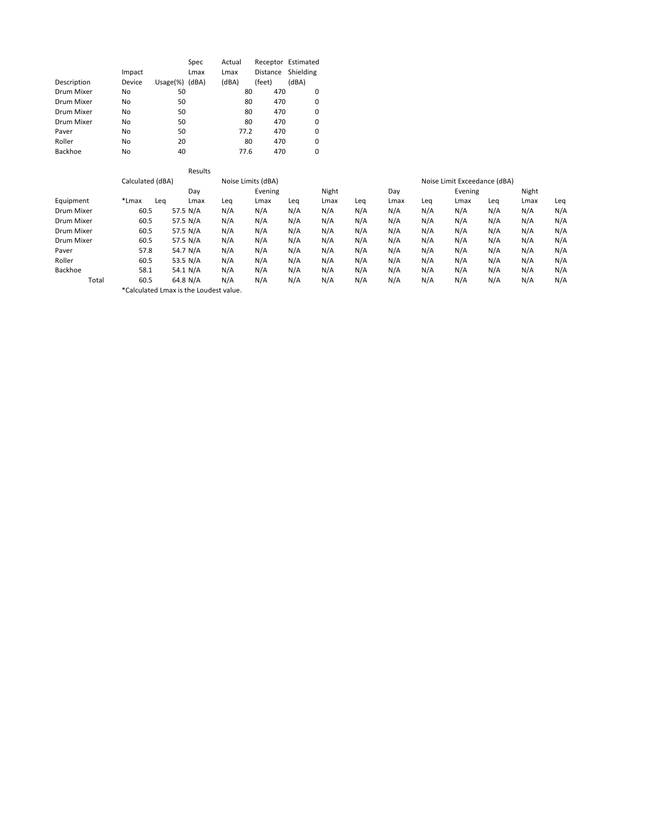|                |        |              | Spec  | Actual |                 | Receptor Estimated |
|----------------|--------|--------------|-------|--------|-----------------|--------------------|
|                | Impact |              | Lmax  | Lmax   | <b>Distance</b> | Shielding          |
| Description    | Device | Usage $(\%)$ | (dBA) | (dBA)  | (feet)          | (dBA)              |
| Drum Mixer     | No.    | 50           |       | 80     | 470             | 0                  |
| Drum Mixer     | No     | 50           |       | 80     | 470             | 0                  |
| Drum Mixer     | No.    | 50           |       | 80     | 470             | 0                  |
| Drum Mixer     | No     | 50           |       | 80     | 470             | 0                  |
| Paver          | No.    | 50           |       | 77.2   | 470             | 0                  |
| Roller         | No     | 20           |       | 80     | 470             | 0                  |
| <b>Backhoe</b> | No.    | 40           |       | 77.6   | 470             | 0                  |

|            |                  | Results                               |     |                    |     |       |     |      |     |                              |     |       |     |
|------------|------------------|---------------------------------------|-----|--------------------|-----|-------|-----|------|-----|------------------------------|-----|-------|-----|
|            | Calculated (dBA) |                                       |     | Noise Limits (dBA) |     |       |     |      |     | Noise Limit Exceedance (dBA) |     |       |     |
|            |                  | Day                                   |     | Evening            |     | Night |     |      |     | Evening                      |     | Night |     |
| Equipment  | *Lmax            | Lea<br>Lmax                           | Leq | Lmax               | Leq | Lmax  | Leq | Lmax | Leg | Lmax                         | Leq | Lmax  | Leq |
| Drum Mixer | 60.5             | 57.5 N/A                              | N/A | N/A                | N/A | N/A   | N/A | N/A  | N/A | N/A                          | N/A | N/A   | N/A |
| Drum Mixer | 60.5             | 57.5 N/A                              | N/A | N/A                | N/A | N/A   | N/A | N/A  | N/A | N/A                          | N/A | N/A   | N/A |
| Drum Mixer | 60.5             | 57.5 N/A                              | N/A | N/A                | N/A | N/A   | N/A | N/A  | N/A | N/A                          | N/A | N/A   | N/A |
| Drum Mixer | 60.5             | 57.5 N/A                              | N/A | N/A                | N/A | N/A   | N/A | N/A  | N/A | N/A                          | N/A | N/A   | N/A |
| Paver      | 57.8             | 54.7 N/A                              | N/A | N/A                | N/A | N/A   | N/A | N/A  | N/A | N/A                          | N/A | N/A   | N/A |
| Roller     | 60.5             | 53.5 N/A                              | N/A | N/A                | N/A | N/A   | N/A | N/A  | N/A | N/A                          | N/A | N/A   | N/A |
| Backhoe    | 58.1             | 54.1 $N/A$                            | N/A | N/A                | N/A | N/A   | N/A | N/A  | N/A | N/A                          | N/A | N/A   | N/A |
| Total      | 60.5             | 64.8 N/A                              | N/A | N/A                | N/A | N/A   | N/A | N/A  | N/A | N/A                          | N/A | N/A   | N/A |
|            |                  | Acalculated Lmay is the Loudest value |     |                    |     |       |     |      |     |                              |     |       |     |

\*Calculated Lmax is the Loudest value.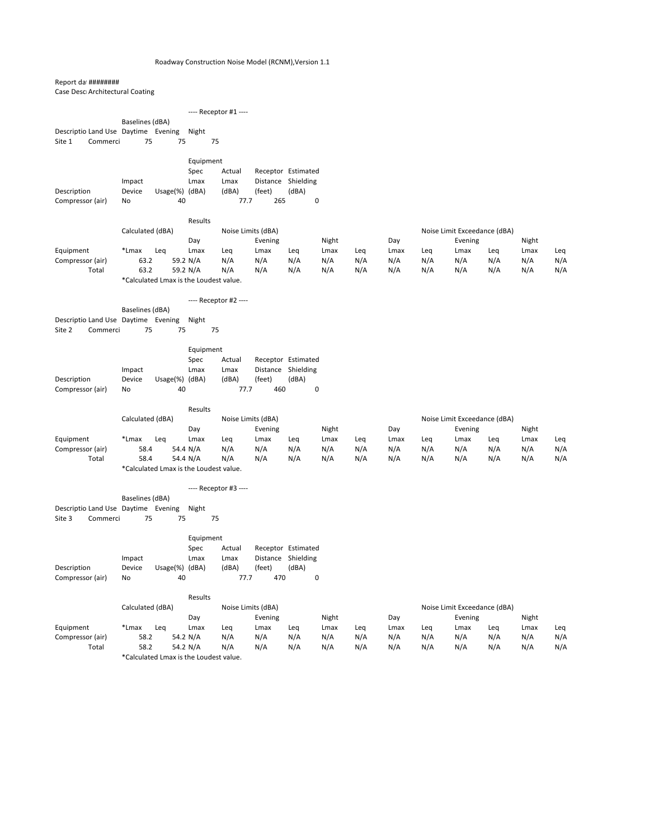### Report dat #########

Case DescrArchitectural Coating

| case Desertic critecturul coutilit  |                  |                                        |              |                       |                                          |       |           |     |      |     |                              |     |       |     |
|-------------------------------------|------------------|----------------------------------------|--------------|-----------------------|------------------------------------------|-------|-----------|-----|------|-----|------------------------------|-----|-------|-----|
|                                     |                  |                                        |              | ---- Receptor #1 ---- |                                          |       |           |     |      |     |                              |     |       |     |
|                                     | Baselines (dBA)  |                                        |              |                       |                                          |       |           |     |      |     |                              |     |       |     |
| Descriptio Land Use Daytime Evening |                  |                                        | Night        |                       |                                          |       |           |     |      |     |                              |     |       |     |
| Site 1<br>Commerci                  | 75               | 75                                     |              | 75                    |                                          |       |           |     |      |     |                              |     |       |     |
|                                     |                  |                                        |              |                       |                                          |       |           |     |      |     |                              |     |       |     |
|                                     |                  |                                        | Equipment    |                       |                                          |       |           |     |      |     |                              |     |       |     |
|                                     |                  |                                        | Spec         | Actual                | Receptor Estimated                       |       |           |     |      |     |                              |     |       |     |
|                                     | Impact           |                                        | Lmax         | Lmax                  | Distance Shielding                       |       |           |     |      |     |                              |     |       |     |
| Description                         | Device           | Usage(%) (dBA)                         |              | (dBA)                 | (feet)                                   | (dBA) |           |     |      |     |                              |     |       |     |
| Compressor (air)                    | No               | 40                                     |              | 77.7                  | 265                                      |       | $\pmb{0}$ |     |      |     |                              |     |       |     |
|                                     |                  |                                        | Results      |                       |                                          |       |           |     |      |     |                              |     |       |     |
|                                     | Calculated (dBA) |                                        |              | Noise Limits (dBA)    |                                          |       |           |     |      |     | Noise Limit Exceedance (dBA) |     |       |     |
|                                     |                  |                                        | Day          |                       | Evening                                  |       | Night     |     | Day  |     | Evening                      |     | Night |     |
| Equipment                           | *Lmax            | Leq                                    | Lmax         | Leq                   | Lmax                                     | Leq   | Lmax      | Leq | Lmax | Leq | Lmax                         | Leq | Lmax  | Leq |
| Compressor (air)                    | 63.2             |                                        | 59.2 N/A     | N/A                   | N/A                                      | N/A   | N/A       | N/A | N/A  | N/A | N/A                          | N/A | N/A   | N/A |
| Total                               | 63.2             |                                        | 59.2 N/A     | N/A                   | N/A                                      | N/A   | N/A       | N/A | N/A  | N/A | N/A                          | N/A | N/A   | N/A |
|                                     |                  | *Calculated Lmax is the Loudest value. |              |                       |                                          |       |           |     |      |     |                              |     |       |     |
|                                     |                  |                                        |              | ---- Receptor #2 ---- |                                          |       |           |     |      |     |                              |     |       |     |
|                                     | Baselines (dBA)  |                                        |              |                       |                                          |       |           |     |      |     |                              |     |       |     |
| Descriptio Land Use Daytime Evening |                  |                                        | Night        |                       |                                          |       |           |     |      |     |                              |     |       |     |
| Site 2<br>Commerci                  | 75               | 75                                     |              | 75                    |                                          |       |           |     |      |     |                              |     |       |     |
|                                     |                  |                                        |              |                       |                                          |       |           |     |      |     |                              |     |       |     |
|                                     |                  |                                        | Equipment    |                       |                                          |       |           |     |      |     |                              |     |       |     |
|                                     |                  |                                        | Spec         | Actual                | Receptor Estimated                       |       |           |     |      |     |                              |     |       |     |
|                                     | Impact           |                                        | Lmax         | Lmax                  | Distance Shielding                       |       |           |     |      |     |                              |     |       |     |
| Description                         | Device           | Usage(%) (dBA)<br>40                   |              | (dBA)<br>77.7         | (feet)<br>460                            | (dBA) | $\pmb{0}$ |     |      |     |                              |     |       |     |
| Compressor (air)                    | No               |                                        |              |                       |                                          |       |           |     |      |     |                              |     |       |     |
|                                     |                  |                                        | Results      |                       |                                          |       |           |     |      |     |                              |     |       |     |
|                                     | Calculated (dBA) |                                        |              | Noise Limits (dBA)    |                                          |       |           |     |      |     | Noise Limit Exceedance (dBA) |     |       |     |
|                                     |                  |                                        | Day          |                       | Evening                                  |       | Night     |     | Day  |     | Evening                      |     | Night |     |
| Equipment                           | *Lmax            | Leq                                    | Lmax         | Leq                   | Lmax                                     | Leq   | Lmax      | Leq | Lmax | Leq | Lmax                         | Leq | Lmax  | Leq |
| Compressor (air)                    | 58.4             |                                        | 54.4 N/A     | N/A                   | N/A                                      | N/A   | N/A       | N/A | N/A  | N/A | N/A                          | N/A | N/A   | N/A |
| Total                               | 58.4             |                                        | 54.4 N/A     | N/A                   | N/A                                      | N/A   | N/A       | N/A | N/A  | N/A | N/A                          | N/A | N/A   | N/A |
|                                     |                  | *Calculated Lmax is the Loudest value. |              |                       |                                          |       |           |     |      |     |                              |     |       |     |
|                                     |                  |                                        |              | ---- Receptor #3 ---- |                                          |       |           |     |      |     |                              |     |       |     |
|                                     | Baselines (dBA)  |                                        |              |                       |                                          |       |           |     |      |     |                              |     |       |     |
| Descriptio Land Use Daytime Evening |                  |                                        | Night        |                       |                                          |       |           |     |      |     |                              |     |       |     |
| Site 3<br>Commerci                  | 75               | 75                                     |              | 75                    |                                          |       |           |     |      |     |                              |     |       |     |
|                                     |                  |                                        |              |                       |                                          |       |           |     |      |     |                              |     |       |     |
|                                     |                  |                                        | Equipment    |                       |                                          |       |           |     |      |     |                              |     |       |     |
|                                     |                  |                                        | Spec<br>Lmax | Actual<br>Lmax        | Receptor Estimated<br>Distance Shielding |       |           |     |      |     |                              |     |       |     |
| Description                         | Impact<br>Device | Usage(%) (dBA)                         |              | (dBA)                 | (feet)                                   | (dBA) |           |     |      |     |                              |     |       |     |
|                                     |                  |                                        |              |                       |                                          |       |           |     |      |     |                              |     |       |     |

Compressor (air) No 40 77.7 470 0

### Results

|                  |              | Calculated (dBA) |     |         | Noise Limits (dBA) |       |     |      |     | Noise Limit Exceedance (dBA) |     |       |     |
|------------------|--------------|------------------|-----|---------|--------------------|-------|-----|------|-----|------------------------------|-----|-------|-----|
|                  |              | Dav              |     | Evening |                    | Night |     | Day  |     | Evening                      |     | Night |     |
| Equipment        | *Lmax<br>Lea | Lmax             | Lea | Lmax    | Lea                | Lmax  | Lea | Lmax | Lea | Lmax                         | Lea | Lmax  | Lea |
| Compressor (air) | 58.2         | 54.2 $N/A$       | N/A | N/A     | N/A                | N/A   | N/A | N/A  | N/A | N/A                          | N/A | N/A   | N/A |
| Total            | 58.2         | 54.2 $N/A$       | N/A | N/A     | N/A                | N/A   | N/A | N/A  | N/A | N/A                          | N/A | N/A   | N/A |
|                  | $*C1$        |                  |     |         |                    |       |     |      |     |                              |     |       |     |

\*Calculated Lmax is the Loudest value.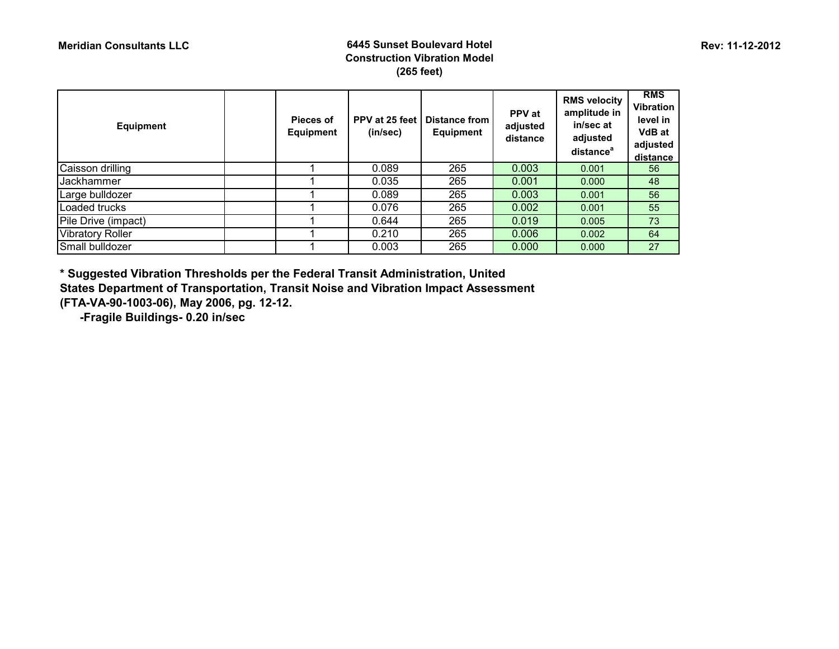#### **Meridian Consultants LLC 6445 Sunset Boulevard Hotel Construction Vibration Model (265 feet)**

| <b>Equipment</b>        | Pieces of<br>Equipment | PPV at 25 feet<br>(in/sec) | <b>Distance from</b><br>Equipment | <b>PPV</b> at<br>adjusted<br>distance | <b>RMS velocity</b><br>amplitude in<br>in/sec at<br>adjusted<br>distance <sup>a</sup> | <b>RMS</b><br><b>Vibration</b><br>level in<br><b>VdB</b> at<br>adjusted<br>distance |
|-------------------------|------------------------|----------------------------|-----------------------------------|---------------------------------------|---------------------------------------------------------------------------------------|-------------------------------------------------------------------------------------|
| Caisson drilling        |                        | 0.089                      | 265                               | 0.003                                 | 0.001                                                                                 | 56                                                                                  |
| Jackhammer              |                        | 0.035                      | 265                               | 0.001                                 | 0.000                                                                                 | 48                                                                                  |
| Large bulldozer         |                        | 0.089                      | 265                               | 0.003                                 | 0.001                                                                                 | 56                                                                                  |
| Loaded trucks           |                        | 0.076                      | 265                               | 0.002                                 | 0.001                                                                                 | 55                                                                                  |
| Pile Drive (impact)     |                        | 0.644                      | 265                               | 0.019                                 | 0.005                                                                                 | 73                                                                                  |
| <b>Vibratory Roller</b> |                        | 0.210                      | 265                               | 0.006                                 | 0.002                                                                                 | 64                                                                                  |
| Small bulldozer         |                        | 0.003                      | 265                               | 0.000                                 | 0.000                                                                                 | 27                                                                                  |

**\* Suggested Vibration Thresholds per the Federal Transit Administration, United** 

**States Department of Transportation, Transit Noise and Vibration Impact Assessment (FTA-VA-90-1003-06), May 2006, pg. 12-12.** 

 **-Fragile Buildings- 0.20 in/sec**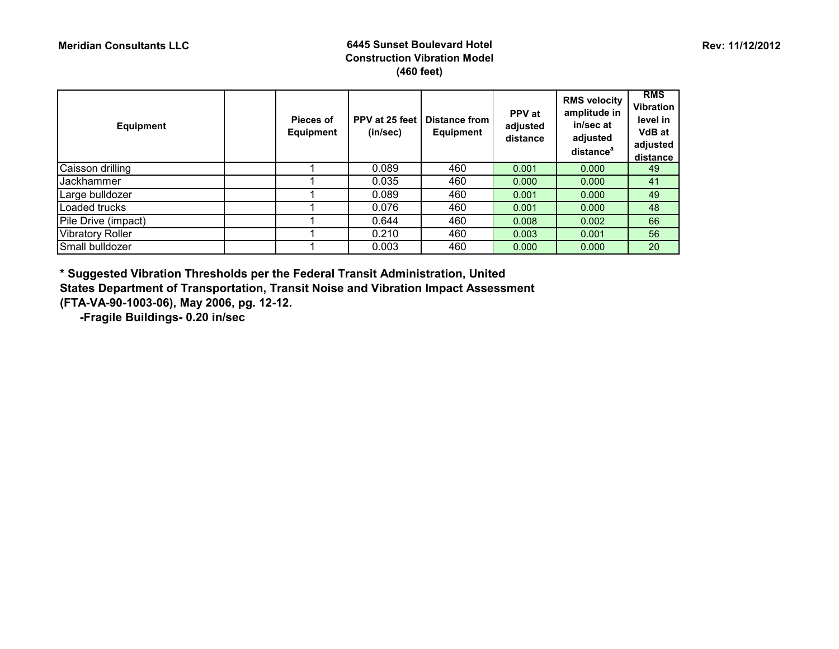Small bulldozer

| <b>Equipment</b>        | Pieces of<br><b>Equipment</b> | PPV at 25 feet<br>(in/sec) | <b>Distance from</b><br><b>Equipment</b> | <b>PPV</b> at<br>adjusted<br>distance | <b>RMS velocity</b><br>amplitude in<br>in/sec at<br>adjusted<br>distance <sup>a</sup> | <b>RMS</b><br><b>Vibration</b><br>level in<br><b>VdB</b> at<br>adjusted<br>distance |
|-------------------------|-------------------------------|----------------------------|------------------------------------------|---------------------------------------|---------------------------------------------------------------------------------------|-------------------------------------------------------------------------------------|
| Caisson drilling        |                               | 0.089                      | 460                                      | 0.001                                 | 0.000                                                                                 | 49                                                                                  |
| Jackhammer              |                               | 0.035                      | 460                                      | 0.000                                 | 0.000                                                                                 | 41                                                                                  |
| Large bulldozer         |                               | 0.089                      | 460                                      | 0.001                                 | 0.000                                                                                 | 49                                                                                  |
| Loaded trucks           |                               | 0.076                      | 460                                      | 0.001                                 | 0.000                                                                                 | 48                                                                                  |
| Pile Drive (impact)     |                               | 0.644                      | 460                                      | 0.008                                 | 0.002                                                                                 | 66                                                                                  |
| <b>Vibratory Roller</b> |                               | 0.210                      | 460                                      | 0.003                                 | 0.001                                                                                 | 56                                                                                  |

Vibratory Roller 1 1 0.210 460 0.003 0.001 56<br>1 0.003 460 0.000 0.000 20

**\* Suggested Vibration Thresholds per the Federal Transit Administration, United** 

**States Department of Transportation, Transit Noise and Vibration Impact Assessment (FTA-VA-90-1003-06), May 2006, pg. 12-12.** 

 **-Fragile Buildings- 0.20 in/sec**